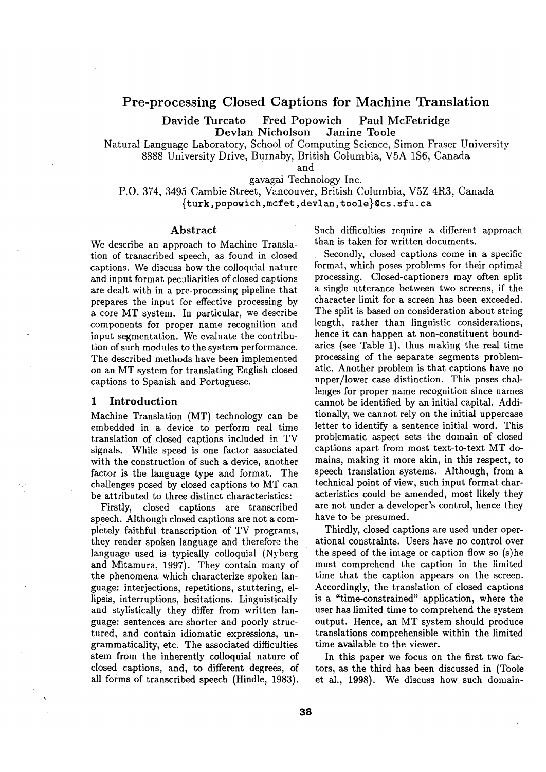# **Pre-processing Closed Captions for Machine Translation**

Davide Turcato Fred Popowich Paul McFetridge Devlan Nicholson Janine Toole

Natural Language Laboratory, School of Computing Science, Simon Fraser University 8888 University Drive, Burnaby, British Columbia, V5A 1S6, Canada

and

gavagai Technology Inc.

P.O. 374, 3495 Cambie Street, Vancouver, British Columbia, V5Z 4R3, Canada {turk, popowich, mcfet, devl an, toole}©cs, sfu. ca

#### Abstract

We describe an approach to Machine Translation of transcribed speech, as found in closed captions. We discuss how the colloquial nature and input format peculiarities of closed captions are dealt with in a pre-processing pipeline that prepares the input for effective processing by a core MT system. In particular, we describe components for proper name recognition and input segmentation. We evaluate the contribution of such modules to the system performance. The described methods have been implemented on an MT system for translating English closed captions to Spanish and Portuguese.

#### 1 Introduction

Machine Translation (MT) technology can be embedded in a device to perform real time translation of closed captions included in TV signals. While speed is one factor associated with the construction of such a device, another factor is the language type and format. The challenges posed by closed captions to MT can be attributed to three distinct characteristics:

Firstly, closed captions are transcribed speech. Although closed captions are not a completely faithful transcription of TV programs, they render spoken language and therefore the language used is typically colloquial (Nyberg and Mitamura, 1997). They contain many of the phenomena which characterize spoken language: interjections, repetitions, stuttering, ellipsis, interruptions, hesitations. Linguistically and stylistically they differ from written language: sentences are shorter and poorly structured, and contain idiomatic expressions, ungrammaticality, etc. The associated difficulties stem from the inherently colloquial nature of closed captions, and, to different degrees, of all forms of transcribed speech (Hindle, 1983). Such difficulties require a different approach than is taken for written documents.

Secondly, closed captions come in a specific format, which poses problems for their optimal processing. Closed-captioners may often split a single utterance between two screens, if the character limit for a screen has been exceeded. The split is based on consideration about string length, rather than linguistic considerations, hence it can happen at non-constituent boundaries (see Table 1), thus making the real time processing of the separate segments problematic. Another problem is that captions have no upper/lower case distinction. This poses challenges for proper name recognition since names cannot be identified by an initial capital. Additionally, we cannot rely on the initial uppercase letter to identify a sentence initial word. This problematic aspect sets the domain of closed captions apart from most text-to-text MT domains, making it more akin, in this respect, to speech translation systems. Although, from a technical point of view, such input format characteristics could be amended, most likely they are not under a developer's control, hence they have to be presumed.

Thirdly, closed captions are used under operational constraints. Users have no control over the speed of the image or caption flow so (s)he must comprehend the caption in the limited time that the caption appears on the screen. Accordingly, the translation of closed captions is a "time-constrained" application, where the user has limited time to comprehend the system output. Hence, an MT system should produce translations comprehensible within the limited time available to the viewer.

In this paper we focus on the first two factors, as the third has been discussed in (Toole et al., 1998). We discuss how such domain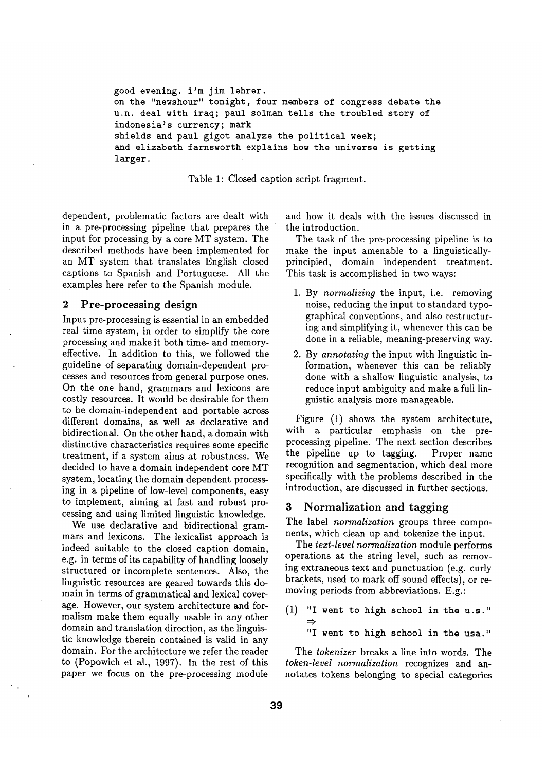good evening, i'm jim lehrer. on the "newshour" tonight, four members of congress debate the u.n. deal with iraq; paul solman tells the troubled story of indonesia's currency; mark shields and paul gigot analyze the political **week;**  and elizabeth farnsworth explains how the universe is getting larger.

Table 1: Closed caption script fragment.

dependent, problematic factors are dealt with in a pre-processing pipeline that prepares the input for processing by a core MT system. The described methods have been implemented for an MT system that translates English closed captions to Spanish and Portuguese. All the examples here refer to the Spanish module.

### 2 Pre-processing design

Input pre-processing is essential in an embedded real time system, in order to simplify the core processing and make it both time- and memoryeffective. In addition to this, we followed the guideline of separating domain-dependent processes and resources from general purpose ones. On the one hand, grammars and lexicons are costly resources. It would be desirable for them to be domain-independent and portable across different domains, as well as declarative and bidirectional. On the other hand, a domain with distinctive characteristics requires some specific treatment, if a system aims at robustness. We decided to have a domain independent core MT system, locating the domain dependent processing in a pipeline of low-level components, easy to implement, aiming at fast and robust processing and using limited linguistic knowledge.

We use declarative and bidirectional grammars and lexicons. The lexicalist approach is indeed suitable to the closed caption domain, e.g. in terms of its capability of handling loosely structured or incomplete sentences. Also, the linguistic resources are geared towards this domain in terms of grammatical and lexical coverage. However, our system architecture and formalism make them equally usable in any other domain and translation direction, as the linguistic knowledge therein contained is valid in any domain. For the architecture we refer the reader to (Popowich et al., 1997). In the rest of this paper we focus on the pre-processing module and how it deals with the issues discussed in the introduction.

The task of the pre-processing pipeline is to make the input amenable to a linguisticallyprincipled, domain independent treatment. This task is accomplished in two ways:

- 1. By *normalizing* the input, i.e. removing noise, reducing the input to standard typographical conventions, and also restructuring and simplifying it, whenever this can be done in a reliable, meaning-preserving way.
- 2. By *annotating* the input with linguistic information, whenever this can be reliably done with a shallow linguistic analysis, to reduce input ambiguity and make a full linguistic analysis more manageable.

Figure (1) shows the system architecture, with a particular emphasis on the preprocessing pipeline. The next section describes the pipeline up to tagging. Proper name recognition and segmentation, which deal more specifically with the problems described in the introduction, are discussed in further sections.

## 3 Normalization and tagging

The label *normalization* groups three components, which clean up and tokenize the input.

The *text-level normalization* module performs operations at the string level, such as removing extraneous text and punctuation (e.g. curly brackets, used to mark off sound effects), or removing periods from abbreviations. E.g.:

**(I) "I went to high school** in the **u.s."** 

"I **went to high school** in the **usa."** 

The *tokenizer* breaks a line into words. The *token-level normalization* recognizes and annotates tokens belonging to special categories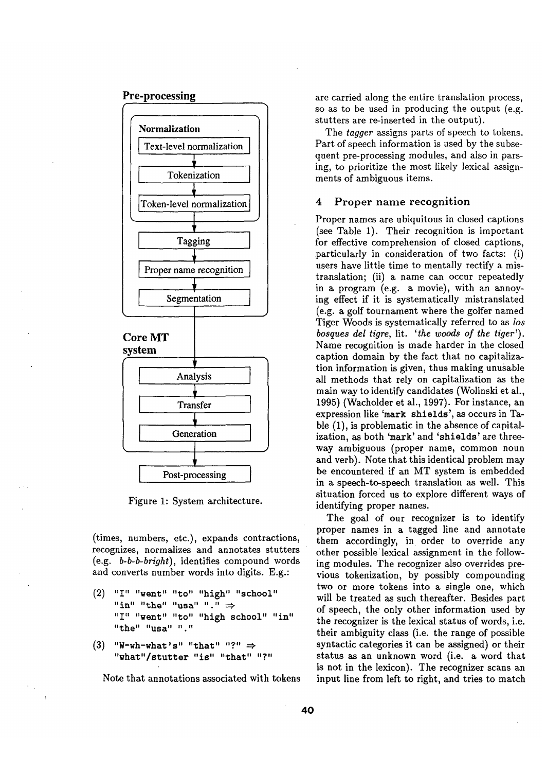### **Pre-processing**



Figure 1: System architecture.

(times, numbers, etc.), expands contractions, recognizes, normalizes and annotates stutters (e.g. *b-b-b-bright),* identifies compound words and converts number words into digits. E.g.:

- (2) "I" "went" "to" "high" "school"  $\lim$ <sup>"</sup> "the" "usa" "."  $\Rightarrow$ "I" "went" "to" "high school" "in" **"the" "usa"** " "
- $(3)$  "W-wh-what's" "that" "?"  $\Rightarrow$ "what"/stutter "is" "that" "?"

Note that annotations associated with tokens

are carried along the entire translation process, so as to be used in producing the output (e.g. stutters are re-inserted in the output).

The *tagger* assigns parts of speech to tokens. Part of speech information is used by the subsequent pre-processing modules, and also in parsing, to prioritize the most likely lexical assignments of ambiguous items.

#### 4 Proper name recognition

Proper names are ubiquitous in closed captions (see Table 1). Their recognition is important for effective comprehension of closed captions, particularly in consideration of two facts: (i) users have little time to mentally rectify a mistranslation; (ii) a name can occur repeatedly in a program (e.g. a movie), with an annoying effect if it is systematically mistranslated (e.g. a golf tournament where the golfer named Tiger Woods is systematically referred to as *los bosques del tigre,* lit. *'the woods of the tiger').*  Name recognition is made harder in the closed caption domain by the fact that no capitalization information is given, thus making unusable all methods that rely on capitalization as the main way to identify candidates (Wolinski et al., 1995) (Wacholder et al., 1997). For instance, an expression like 'mark shields', as occurs in Table (1), is problematic in the absence of capitalization, as both 'mark' and 'shields' are threeway ambiguous (proper name, common noun and verb). Note that this identical problem may be encountered if an MT system is embedded in a speech-to-speech translation as well. This situation forced us to explore different ways of identifying proper names.

The goal of our recognizer is to identify proper names in a tagged line and annotate them accordingly, in order to override any other possible lexical assignment in the following modules. The recognizer also overrides previous tokenization, by possibly compounding two or more tokens into a single one, which will be treated as such thereafter. Besides part of speech, the only other information used by the recognizer is the lexical status of words, i.e. their ambiguity class (i.e. the range of possible syntactic categories it can be assigned) or their status as an unknown word (i.e. a word that is not in the lexicon). The recognizer scans an input line from left to right, and tries to match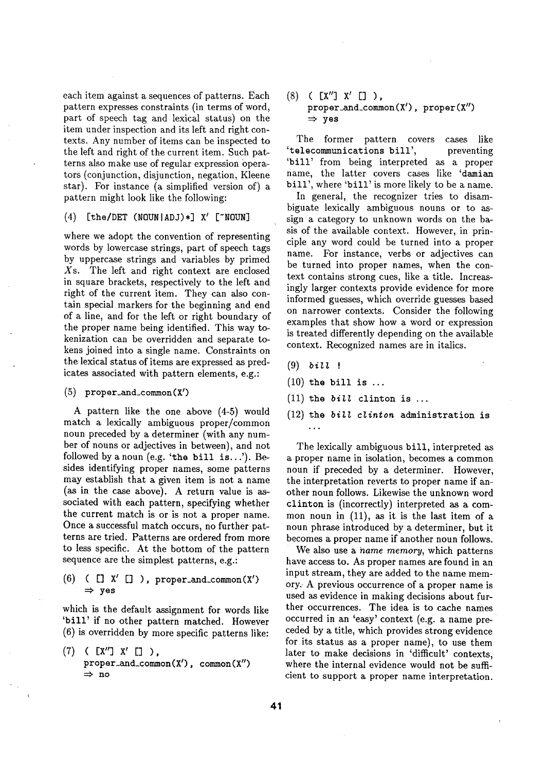each item against a sequences of patterns. Each pattern expresses constraints (in terms of word, part of speech tag and lexical status) on the item under inspection and its left and right contexts. Any number of items can be inspected to the left and right of the current item. Such patterns also make use of regular expression bperators (conjunction, disjunction, negation, Kleene star). For instance (a simplified version of) a pattern might look like the following:

### **(4) /the/DEW (NOUNIADJ)\*] X' ['NOUN]**

where we adopt the convention of representing words by lowercase strings, part of speech tags by uppercase strings and variables by primed Xs. The left and right context are enclosed in square brackets, respectively to the left and right of the current item. They can also contain special markers for the beginning and end of a line, and for the left or right boundary of the proper name being identified. This way tokenization can be overridden and separate tokens joined into a single name. Constraints on the lexical status of items are expressed as predicates associated with pattern elements, e.g.:

(5) proper\_and\_common (X')

A pattern like the one above (4-5) would match a lexically ambiguous proper/common noun preceded by a determiner (with any number of nouns or adjectives in between), and not followed by a noun (e.g. 'the bill is...'). Besides identifying proper names, some patterns may establish that a given item is not a name (as in the case above). A return value is associated with each pattern, specifying whether the current match is or is not a proper name. Once a successful match occurs, no further patterns are tried. Patterns are ordered from more to less specific. At the bottom of the pattern sequence are the simplest patterns, e.g.:

 $(6)$  ( [] X' [] ), proper\_and\_common(X') **yes** 

which is the default assignment for words like 'bill' if no other pattern matched. However (6) is overridden by more specific patterns like:

 $(7)$  (  $[2'']$   $X'$   $[1'')$ , proper\_and\_common $(X')$ , common $(X'')$  $\Rightarrow$  no

(s) ( [x'] x' [] ), proper\_and\_common $(X')$ , proper $(X'')$  $\Rightarrow$  yes

The former pattern covers cases like 'telecommunications bill', preventing 'bill' from being interpreted as a proper name, the latter covers cases like 'damian bill', where 'bill' is more likely to be a name.

In general, the recognizer tries to disambiguate lexically ambiguous nouns or to assign a category to unknown words on the basis of the available context. However, in principle any word could be turned into a proper name. For instance, verbs or adjectives can be turned into proper names, when the context contains strong cues, like a title. Increasingly larger contexts provide evidence for more informed guesses, which override guesses based on narrower contexts. Consider the following examples that show how a word or expression is treated differently depending on the available context. Recognized names are in italics.

- $(9)$  bill !
- $(10)$  the bill is ...
- (11) the *bill* clinton is ...
- (12) the *bill clinton* administration is  $\ddotsc$

The lexically ambiguous bill, interpreted as a proper name in isolation, becomes a common noun if preceded by a determiner. However, the interpretation reverts to proper name if another noun follows. Likewise the unknown word clinton is (incorrectly) interpreted as a common noun in (11), as it is the last item of a noun phrase introduced by a determiner, but it becomes a proper name if another noun follows.

We also use a *name memory,* which patterns have access to. As proper names are found in an input stream, they are added to the name memory. A previous occurrence of a proper name is used as evidence in making decisions about further occurrences. The idea is to cache names occurred in an 'easy' context (e.g. a name preceded by a title, which provides strong evidence for its status as a proper name), to use them later to make decisions in 'difficult' contexts, where the internal evidence would not be sufficient to support a proper name interpretation.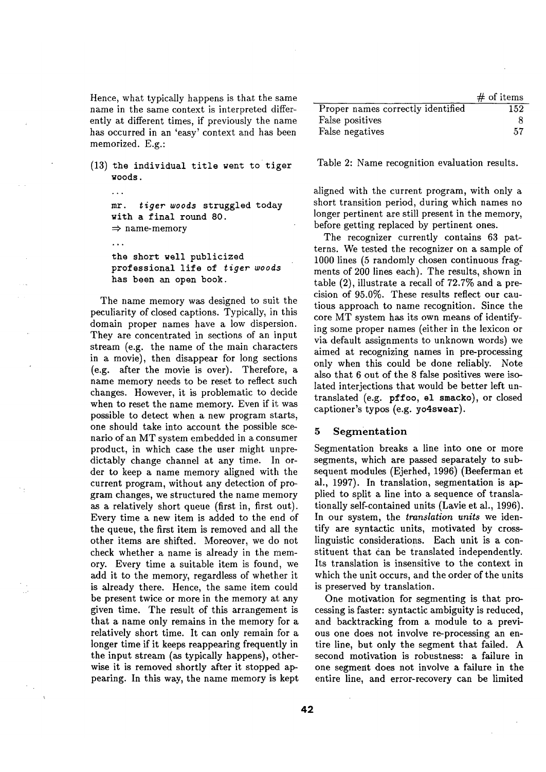Hence, what typically happens is that the same name in the same context is interpreted differently at different times, if previously the name has occurred in an 'easy' context and has been memorized. E.g.:

(13) the individual title went to tiger woods.

 $\sim$  .

mr. *tiger woods* struggled today with a final round 80.  $\Rightarrow$  name-memory

 $\ldots$ the short well publicized professional life of *tiger woods*  has been an open book.

The name memory was designed to suit the peculiarity of closed captions. Typically, in this domain proper names have a low dispersion. They are concentrated in sections of an input stream (e.g. the name of the main characters in a movie), then disappear for long sections (e.g. after the movie is over). Therefore, a name memory needs to be reset to reflect such changes. However, it is problematic to decide when to reset the name memory. Even if it was possible to detect when a new program starts, one should take into account the possible scenario of an MT system embedded in a consumer product, in which case the user might unpredictably change channel at any time. In order to keep a name memory aligned with the current program, without any detection of program changes, we structured the name memory as a relatively short queue (first in, first out). Every time a new item is added to the end of the queue, the first item is removed and all the other items are shifted. Moreover, we do not check whether a name is already in the memory. Every time a suitable item is found, we add it to the memory, regardless of whether it is already there. Hence, the same item could be present twice or more in the memory at any given time. The result of this arrangement is that a name only remains in the memory for a relatively short time. It can only remain for a longer time if it keeps reappearing frequently in the input stream (as typically happens), otherwise it is removed shortly after it stopped appearing. In this way, the name memory is kept

|                                   | $#$ of items |
|-----------------------------------|--------------|
| Proper names correctly identified | 152          |
| False positives                   |              |
| False negatives                   | 57           |

Table 2: Name recognition evaluation results.

aligned with the current program, with only a short transition period, during which names no longer pertinent are still present in the memory, before getting replaced by pertinent ones.

The recognizer currently contains 63 patterns. We tested the recognizer on a sample of 1000 lines (5 randomly chosen continuous fragments of 200 lines each). The results, shown in table (2), illustrate a recall of 72.7% and a precision of 95.0%. These results reflect our cautious approach to name recognition. Since the core MT system has its own means of identifying some proper names (either in the lexicon or via default assignments to unknown words) we aimed at recognizing names in pre-processing only when this could be done reliably. Note also that 6 out of the 8 false positives were isolated interjections that would be better left untranslated (e.g. pffoo, el smacko), or closed captioner's typos (e.g. yo4swear).

#### **5 Segmentation**

Segmentation breaks a line into one or more segments, which are passed separately to subsequent modules (Ejerhed, 1996) (Beeferman et al., 1997). In translation, segmentation is applied to split a line into a sequence of translationally self-contained units (Lavie et al., 1996). In our system, the *translation units* we identify are syntactic units, motivated by crosslinguistic considerations. Each unit is a constituent that can be translated independently. Its translation is insensitive to the context in which the unit occurs, and the order of the units is preserved by translation.

One motivation for segmenting is that processing is faster: syntactic ambiguity is reduced, and backtracking from a module to a previous one does not involve re-processing an entire line, but only the segment that failed. A second motivation is robustness: a failure in one segment does not involve a failure in the entire line, and error-recovery can be limited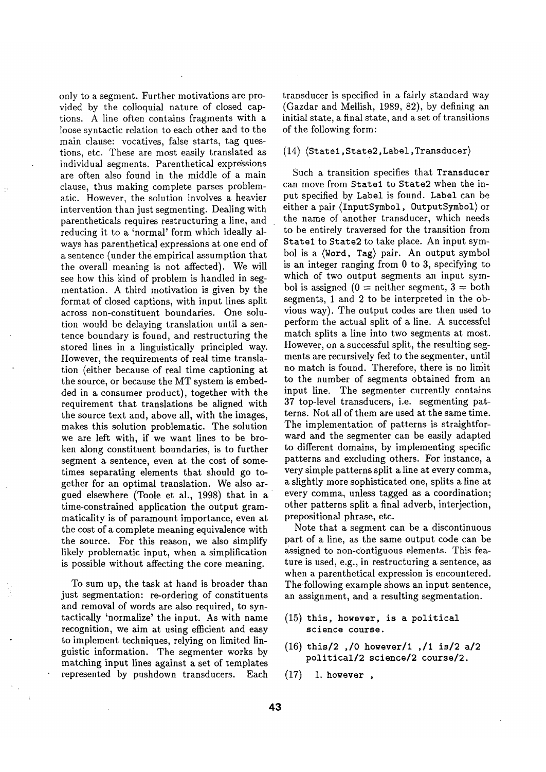only to a segment. Further motivations are provided by the colloquial nature of closed captions. A line often contains fragments with a loose syntactic relation to each other and to the main clause: vocatives, false starts, tag questions, etc. These are most easily translated as individual segments. Parenthetical expressions are often also found in the middle of a main clause, thus making complete parses problematic. However, the solution involves a heavier intervention than just segmenting. Dealing with parentheticals requires restructuring a line, and reducing it to a 'normal' form which ideally always has parenthetical expressions at one end of a sentence (under the empirical assumption that the overall meaning is not affected). We will see how this kind of problem is handled in segmentation. A third motivation is given by the format of closed captions, with input lines split across non-constituent boundaries. One solution would be delaying translation until a sentence boundary is found, and restructuring the stored lines in a linguistically principled way. However, the requirements of real time translation (either because of real time captioning at the source, or because the MT system is embedded in a consumer product), together with the requirement that translations be aligned with the source text and, above all, with the images, makes this solution problematic. The solution we are left with, if we want lines to be broken along constituent boundaries, is to further segment a sentence, even at the cost of sometimes separating elements that should go together for an optimal translation. We also argued elsewhere (Toole et al., 1998) that in a time-constrained application the output grammaticality is of paramount importance, even at the cost of a complete meaning equivalence with the source. For this reason, we also simplify likely problematic input, when a simplification is possible without affecting the core meaning.

To sum up, the task at hand is broader than just segmentation: re-ordering of constituents and removal of words are also required, to syntactically 'normalize' the input. As with name recognition, we aim at using efficient and easy to implement techniques, relying on limited linguistic information. The segmenter works by matching input lines against a set of templates represented by pushdown transducers. Each

transducer is specified in a fairly standard way (Gazdar and Mellish, 1989, 82), by defining an initial state, a final state, and a set of transitions of the following form:

#### $(14)$  (State1, State2, Label, Transducer)

Such a transition specifies that Transducer can move from Statel to State2 when the input specified by Label is found. Label can be either a pair (InputSymbol, OutputSymbol) or the name of another transducer, which needs to be entirely traversed for the transition from Statel to State2 to take place. An input symbol is a (Word, Tag) pair. An output symbol is an integer ranging from 0 to 3, specifying to which of two output segments an input symbol is assigned  $(0 =$  neither segment,  $3 =$  both segments, 1 and 2 to be interpreted in the obvious way). The output codes are then used to perform the actual split of a line. A successful match splits a line into two segments at most. However, on a successful split, the resulting segments are recursively fed to the segmenter, until no match is found. Therefore, there is no limit to the number of segments obtained from an input line. The segmenter currently contains 37 top-level transducers, i.e. segmenting patterns. Not all of them are used at the same time. The implementation of patterns is straightforward and the segmenter can be easily adapted to different domains, by implementing specific patterns and excluding others. For instance, a very simple patterns split a line at every comma, a slightly more sophisticated one, splits a line at every comma, unless tagged as a coordination; other patterns split a final adverb, interjection, prepositional phrase, etc.

Note that a segment can be a discontinuous part of a line, as the same output code can be assigned to non-contiguous elements. This feature is used, e.g., in restructuring a sentence, as when a parenthetical expression is encountered. The following example shows an input sentence, an assignment, and a resulting segmentation.

- (15) this, however, is a political science course.
- (16) this/2 ,/0 however/l ,/i is/2 a/2 political/2 science/2 course/2.
- (17) I. however ,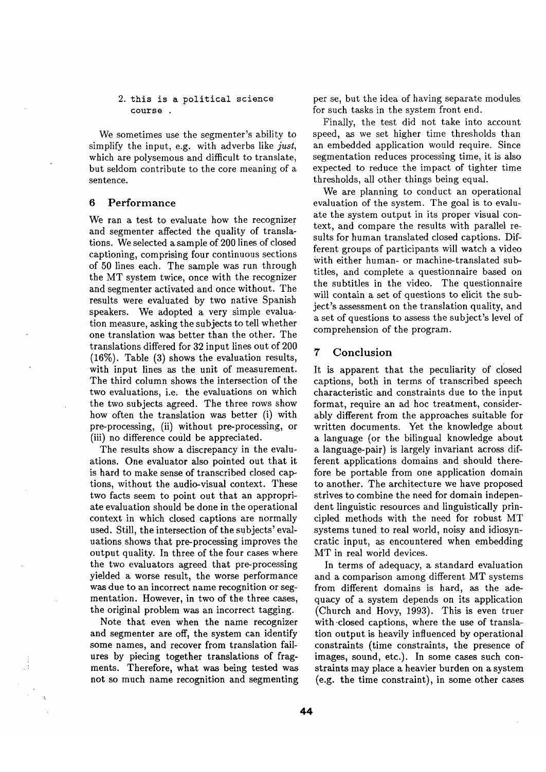#### 2. this is a political science course

We sometimes use the segmenter's ability to simplify the input, e.g. with adverbs like *just,*  which are polysemous and difficult to translate, but seldom contribute to the core meaning of a sentence.

### 6 Performance

We ran a test to evaluate how the recognizer and segmenter affected the quality of translations. We selected a sample of 200 lines of closed captioning, comprising four continuous sections of 50 lines each. The sample was run through the MT system twice, once with the recognizer and segmenter activated and once without. The results were evaluated by two native Spanish speakers. We adopted a very simple evaluation measure, asking the subjects to tell whether one translation was better than the other. The translations differed for 32 input lines out of 200 (16%). Table (3) shows the evaluation results, with input lines as the unit of measurement. The third column shows the intersection of the two evaluations, i.e. the evaluations on which the two subjects agreed. The three rows show how often the translation was better (i) with pre-processing, (ii) without pre-processing, or (iii) no difference could be appreciated.

The results show a discrepancy in the evaluations. One evaluator also pointed out that it is hard to make sense of transcribed closed captions, without the audio-visual context. These two facts seem to point out that an appropriate evaluation should be done in the operational context in which closed captions are normally used. Still, the intersection of the subjects' evaluations shows that pre-processing improves the output quality. In three of the four cases where the two evaluators agreed that pre-processing yielded a worse result, the worse performance was due to an incorrect name recognition or segmentation. However, in two of the three cases, the original problem was an incorrect tagging.

Note that even when the name recognizer and segmenter are off, the system can identify some names, and recover from translation failures by piecing together translations of fragments. Therefore, what was being tested was not so much name recognition and segmenting

per se, but the idea of having separate modules for such tasks in the system front end.

Finally, the test did not take into account speed, as we set higher time thresholds than an embedded application would require. Since segmentation reduces processing time, it is also expected to reduce the impact of tighter time thresholds, all other things being equal.

We are planning to conduct an operational evaluation of the system. The goal is to evaluate the system output in its proper visual context, and compare the results with parallel results for human translated closed captions. Different groups of participants will watch a video with either human- or machine-translated subtitles, and complete a questionnaire based on the subtitles in the video. The questionnaire will contain a set of questions to elicit the subject's assessment on the translation quality, and a set of questions to assess the subject's level of comprehension of the program.

### 7 Conclusion

It is apparent that the peculiarity of closed captions, both in terms of transcribed speech characteristic and constraints due to the input format, require an ad hoc treatment, considerably different from the approaches suitable for written documents. Yet the knowledge about a language (or the bilingual knowledge about a language-pair) is largely invariant across different applications domains and should therefore be portable from one application domain to another. The architecture we have proposed strives to combine the need for domain independent linguistic resources and linguistically principled methods with the need for robust MT systems tuned to real world, noisy and idiosyncratic input, as encountered when embedding MT in real world devices.

In terms of adequacy, a standard evaluation and a comparison among different MT systems from different domains is hard, as the adequacy of a system depends on its application (Church and Hovy, 1993). This is even truer with-closed captions, where the use of translation output is heavily influenced by operational constraints (time constraints, the presence of images, sound, etc.). In some cases such constraints may place a heavier burden on a system (e.g. the time constraint), in some other cases